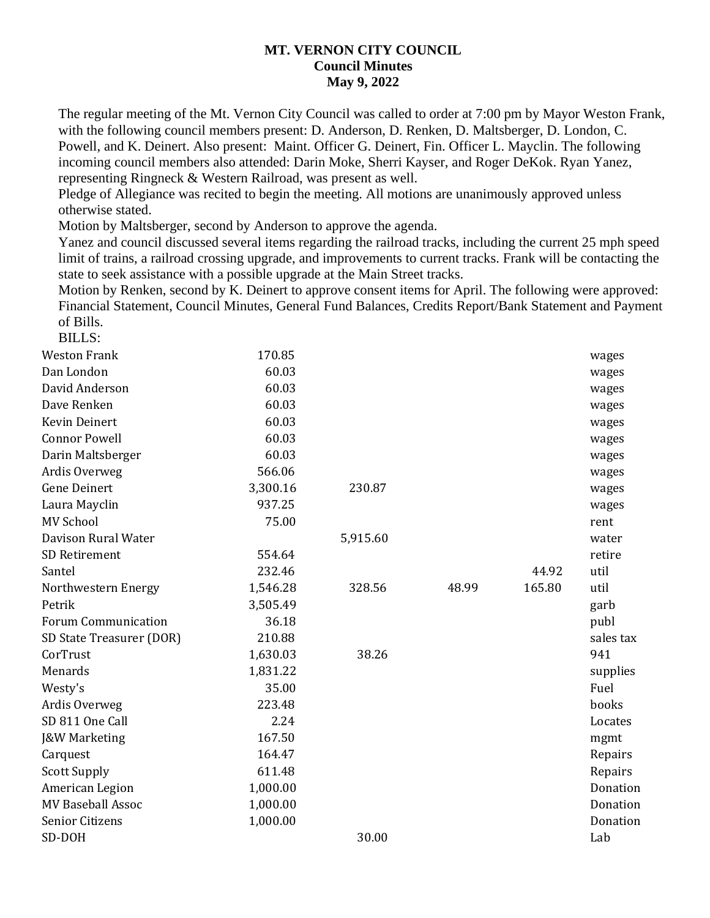## **MT. VERNON CITY COUNCIL Council Minutes May 9, 2022**

The regular meeting of the Mt. Vernon City Council was called to order at 7:00 pm by Mayor Weston Frank, with the following council members present: D. Anderson, D. Renken, D. Maltsberger, D. London, C. Powell, and K. Deinert. Also present: Maint. Officer G. Deinert, Fin. Officer L. Mayclin. The following incoming council members also attended: Darin Moke, Sherri Kayser, and Roger DeKok. Ryan Yanez, representing Ringneck & Western Railroad, was present as well.

Pledge of Allegiance was recited to begin the meeting. All motions are unanimously approved unless otherwise stated.

Motion by Maltsberger, second by Anderson to approve the agenda.

Yanez and council discussed several items regarding the railroad tracks, including the current 25 mph speed limit of trains, a railroad crossing upgrade, and improvements to current tracks. Frank will be contacting the state to seek assistance with a possible upgrade at the Main Street tracks.

Motion by Renken, second by K. Deinert to approve consent items for April. The following were approved: Financial Statement, Council Minutes, General Fund Balances, Credits Report/Bank Statement and Payment of Bills. BILLS:

| <b>Weston Frank</b>        | 170.85   |          |       |        | wages     |
|----------------------------|----------|----------|-------|--------|-----------|
| Dan London                 | 60.03    |          |       |        | wages     |
| David Anderson             | 60.03    |          |       |        | wages     |
| Dave Renken                | 60.03    |          |       |        | wages     |
| <b>Kevin Deinert</b>       | 60.03    |          |       |        | wages     |
| <b>Connor Powell</b>       | 60.03    |          |       |        | wages     |
| Darin Maltsberger          | 60.03    |          |       |        | wages     |
| Ardis Overweg              | 566.06   |          |       |        | wages     |
| <b>Gene Deinert</b>        | 3,300.16 | 230.87   |       |        | wages     |
| Laura Mayclin              | 937.25   |          |       |        | wages     |
| <b>MV School</b>           | 75.00    |          |       |        | rent      |
| Davison Rural Water        |          | 5,915.60 |       |        | water     |
| SD Retirement              | 554.64   |          |       |        | retire    |
| Santel                     | 232.46   |          |       | 44.92  | util      |
| Northwestern Energy        | 1,546.28 | 328.56   | 48.99 | 165.80 | util      |
| Petrik                     | 3,505.49 |          |       |        | garb      |
| <b>Forum Communication</b> | 36.18    |          |       |        | publ      |
| SD State Treasurer (DOR)   | 210.88   |          |       |        | sales tax |
| CorTrust                   | 1,630.03 | 38.26    |       |        | 941       |
| Menards                    | 1,831.22 |          |       |        | supplies  |
| Westy's                    | 35.00    |          |       |        | Fuel      |
| Ardis Overweg              | 223.48   |          |       |        | books     |
| SD 811 One Call            | 2.24     |          |       |        | Locates   |
| <b>J&amp;W Marketing</b>   | 167.50   |          |       |        | mgmt      |
| Carquest                   | 164.47   |          |       |        | Repairs   |
| <b>Scott Supply</b>        | 611.48   |          |       |        | Repairs   |
| American Legion            | 1,000.00 |          |       |        | Donation  |
| <b>MV Baseball Assoc</b>   | 1,000.00 |          |       |        | Donation  |
| <b>Senior Citizens</b>     | 1,000.00 |          |       |        | Donation  |
| SD-DOH                     |          | 30.00    |       |        | Lab       |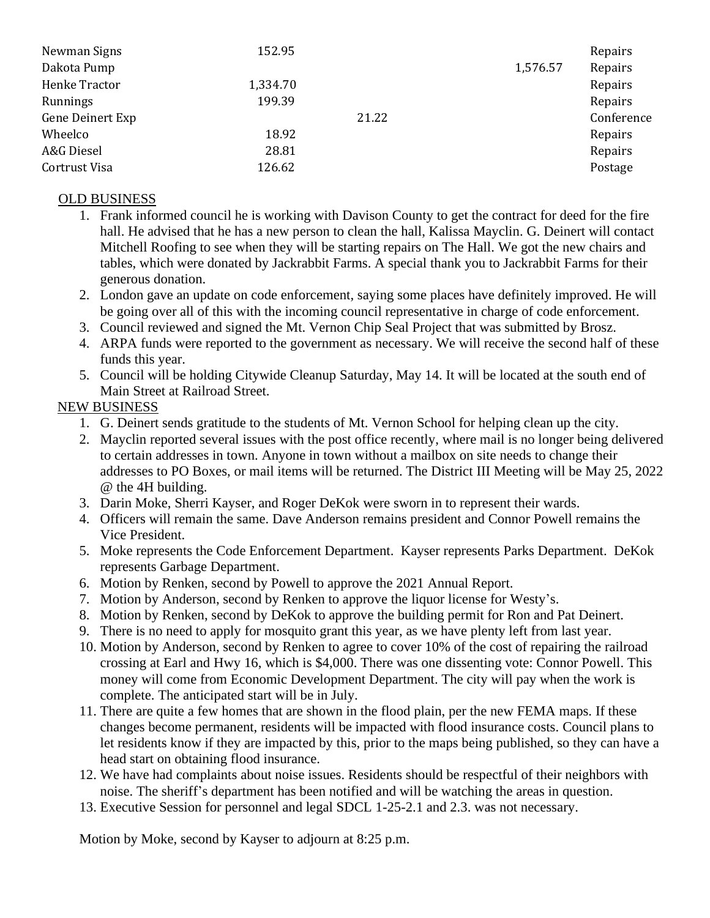| 152.95<br>Newman Signs    |       |          | Repairs    |
|---------------------------|-------|----------|------------|
| Dakota Pump               |       | 1,576.57 | Repairs    |
| Henke Tractor<br>1,334.70 |       |          | Repairs    |
| 199.39<br>Runnings        |       |          | Repairs    |
| Gene Deinert Exp          | 21.22 |          | Conference |
| Wheelco<br>18.92          |       |          | Repairs    |
| A&G Diesel<br>28.81       |       |          | Repairs    |
| 126.62<br>Cortrust Visa   |       |          | Postage    |

## OLD BUSINESS

- 1. Frank informed council he is working with Davison County to get the contract for deed for the fire hall. He advised that he has a new person to clean the hall, Kalissa Mayclin. G. Deinert will contact Mitchell Roofing to see when they will be starting repairs on The Hall. We got the new chairs and tables, which were donated by Jackrabbit Farms. A special thank you to Jackrabbit Farms for their generous donation.
- 2. London gave an update on code enforcement, saying some places have definitely improved. He will be going over all of this with the incoming council representative in charge of code enforcement.
- 3. Council reviewed and signed the Mt. Vernon Chip Seal Project that was submitted by Brosz.
- 4. ARPA funds were reported to the government as necessary. We will receive the second half of these funds this year.
- 5. Council will be holding Citywide Cleanup Saturday, May 14. It will be located at the south end of Main Street at Railroad Street.

## NEW BUSINESS

- 1. G. Deinert sends gratitude to the students of Mt. Vernon School for helping clean up the city.
- 2. Mayclin reported several issues with the post office recently, where mail is no longer being delivered to certain addresses in town. Anyone in town without a mailbox on site needs to change their addresses to PO Boxes, or mail items will be returned. The District III Meeting will be May 25, 2022 @ the 4H building.
- 3. Darin Moke, Sherri Kayser, and Roger DeKok were sworn in to represent their wards.
- 4. Officers will remain the same. Dave Anderson remains president and Connor Powell remains the Vice President.
- 5. Moke represents the Code Enforcement Department. Kayser represents Parks Department. DeKok represents Garbage Department.
- 6. Motion by Renken, second by Powell to approve the 2021 Annual Report.
- 7. Motion by Anderson, second by Renken to approve the liquor license for Westy's.
- 8. Motion by Renken, second by DeKok to approve the building permit for Ron and Pat Deinert.
- 9. There is no need to apply for mosquito grant this year, as we have plenty left from last year.
- 10. Motion by Anderson, second by Renken to agree to cover 10% of the cost of repairing the railroad crossing at Earl and Hwy 16, which is \$4,000. There was one dissenting vote: Connor Powell. This money will come from Economic Development Department. The city will pay when the work is complete. The anticipated start will be in July.
- 11. There are quite a few homes that are shown in the flood plain, per the new FEMA maps. If these changes become permanent, residents will be impacted with flood insurance costs. Council plans to let residents know if they are impacted by this, prior to the maps being published, so they can have a head start on obtaining flood insurance.
- 12. We have had complaints about noise issues. Residents should be respectful of their neighbors with noise. The sheriff's department has been notified and will be watching the areas in question.
- 13. Executive Session for personnel and legal SDCL 1-25-2.1 and 2.3. was not necessary.

Motion by Moke, second by Kayser to adjourn at 8:25 p.m.